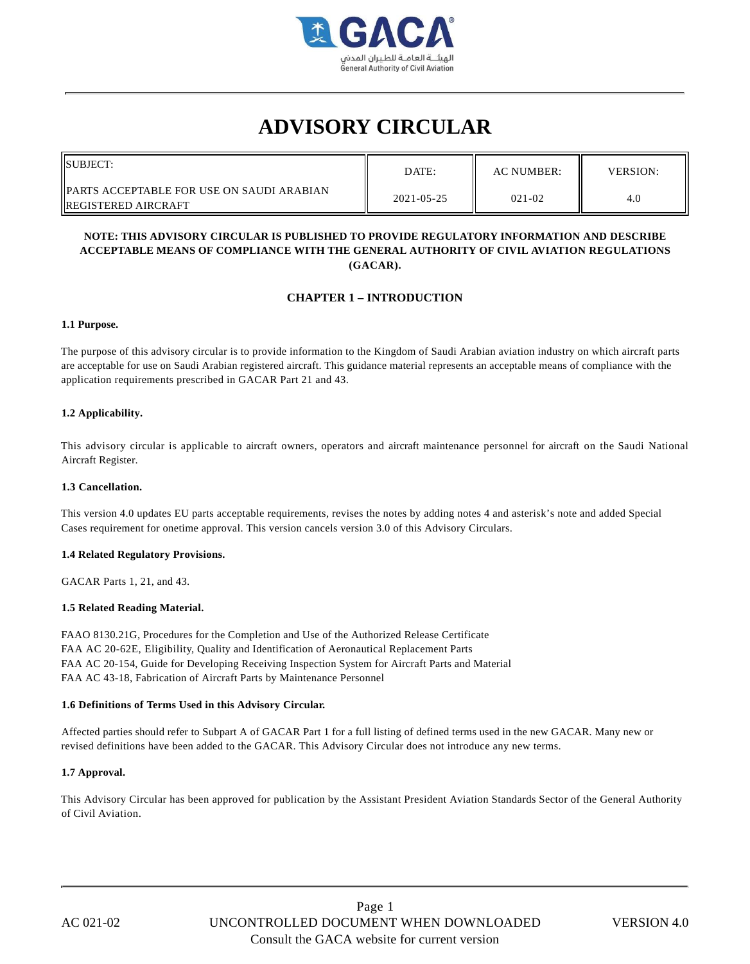

# **ADVISORY CIRCULAR**

| <b>ISUBJECT:</b>                                                    | DATE:      | AC NUMBER: | <b>VERSION:</b> |
|---------------------------------------------------------------------|------------|------------|-----------------|
| IPARTS ACCEPTABLE FOR USE ON SAUDI ARABIAN<br>  REGISTERED AIRCRAFT | 2021-05-25 | $021 - 02$ | 4.0             |

#### **NOTE: THIS ADVISORY CIRCULAR IS PUBLISHED TO PROVIDE REGULATORY INFORMATION AND DESCRIBE ACCEPTABLE MEANS OF COMPLIANCE WITH THE GENERAL AUTHORITY OF CIVIL AVIATION REGULATIONS (GACAR).**

## **CHAPTER 1 – INTRODUCTION**

#### **1.1 Purpose.**

The purpose of this advisory circular is to provide information to the Kingdom of Saudi Arabian aviation industry on which aircraft parts are acceptable for use on Saudi Arabian registered aircraft. This guidance material represents an acceptable means of compliance with the application requirements prescribed in GACAR Part 21 and 43.

#### **1.2 Applicability.**

This advisory circular is applicable to aircraft owners, operators and aircraft maintenance personnel for aircraft on the Saudi National Aircraft Register.

#### **1.3 Cancellation.**

This version 4.0 updates EU parts acceptable requirements, revises the notes by adding notes 4 and asterisk's note and added Special Cases requirement for onetime approval. This version cancels version 3.0 of this Advisory Circulars.

#### **1.4 Related Regulatory Provisions.**

GACAR Parts 1, 21, and 43.

#### **1.5 Related Reading Material.**

FAAO 8130.21G, Procedures for the Completion and Use of the Authorized Release Certificate FAA AC 20-62E, Eligibility, Quality and Identification of Aeronautical Replacement Parts FAA AC 20-154, Guide for Developing Receiving Inspection System for Aircraft Parts and Material FAA AC 43-18, Fabrication of Aircraft Parts by Maintenance Personnel

#### **1.6 Definitions of Terms Used in this Advisory Circular.**

Affected parties should refer to Subpart A of GACAR Part 1 for a full listing of defined terms used in the new GACAR. Many new or revised definitions have been added to the GACAR. This Advisory Circular does not introduce any new terms.

#### **1.7 Approval.**

This Advisory Circular has been approved for publication by the Assistant President Aviation Standards Sector of the General Authority of Civil Aviation.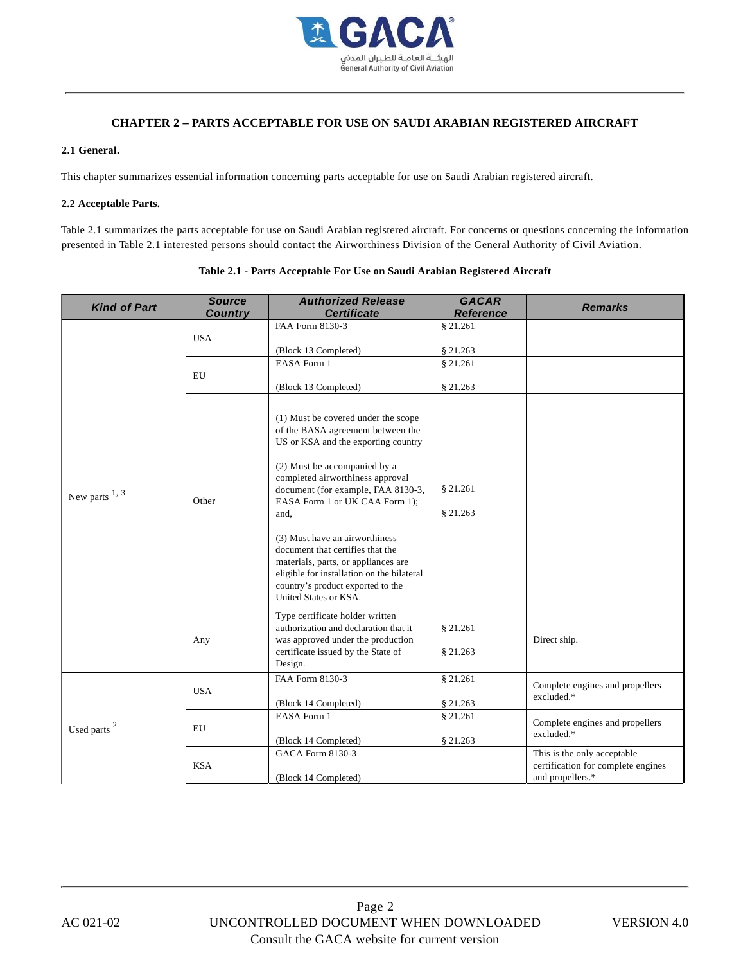

## **CHAPTER 2 – PARTS ACCEPTABLE FOR USE ON SAUDI ARABIAN REGISTERED AIRCRAFT**

#### **2.1 General.**

This chapter summarizes essential information concerning parts acceptable for use on Saudi Arabian registered aircraft.

#### **2.2 Acceptable Parts.**

Table 2.1 summarizes the parts acceptable for use on Saudi Arabian registered aircraft. For concerns or questions concerning the information presented in Table 2.1 interested persons should contact the Airworthiness Division of the General Authority of Civil Aviation.

| <b>Kind of Part</b>     | <b>Source</b><br><b>Country</b> | <b>Authorized Release</b><br><b>Certificate</b>                                                                                                                                                                                                                                                                                                                                                                                                                                              | <b>GACAR</b><br><b>Reference</b> | <b>Remarks</b>                                                                        |
|-------------------------|---------------------------------|----------------------------------------------------------------------------------------------------------------------------------------------------------------------------------------------------------------------------------------------------------------------------------------------------------------------------------------------------------------------------------------------------------------------------------------------------------------------------------------------|----------------------------------|---------------------------------------------------------------------------------------|
| New parts $1, 3$        | <b>USA</b>                      | FAA Form 8130-3                                                                                                                                                                                                                                                                                                                                                                                                                                                                              | § 21.261                         |                                                                                       |
|                         |                                 | (Block 13 Completed)                                                                                                                                                                                                                                                                                                                                                                                                                                                                         | § 21.263                         |                                                                                       |
|                         | EU                              | <b>EASA Form 1</b>                                                                                                                                                                                                                                                                                                                                                                                                                                                                           | \$21.261                         |                                                                                       |
|                         |                                 | (Block 13 Completed)                                                                                                                                                                                                                                                                                                                                                                                                                                                                         | \$21.263                         |                                                                                       |
|                         | Other                           | (1) Must be covered under the scope<br>of the BASA agreement between the<br>US or KSA and the exporting country<br>(2) Must be accompanied by a<br>completed airworthiness approval<br>document (for example, FAA 8130-3,<br>EASA Form 1 or UK CAA Form 1);<br>and,<br>(3) Must have an airworthiness<br>document that certifies that the<br>materials, parts, or appliances are<br>eligible for installation on the bilateral<br>country's product exported to the<br>United States or KSA. | \$21.261<br>\$21.263             |                                                                                       |
|                         | Any                             | Type certificate holder written<br>authorization and declaration that it<br>was approved under the production<br>certificate issued by the State of<br>Design.                                                                                                                                                                                                                                                                                                                               | § 21.261<br>\$21.263             | Direct ship.                                                                          |
| Used parts <sup>2</sup> | <b>USA</b>                      | FAA Form 8130-3<br>(Block 14 Completed)                                                                                                                                                                                                                                                                                                                                                                                                                                                      | \$21.261<br>\$21.263             | Complete engines and propellers<br>excluded.*                                         |
|                         | EU                              | EASA Form 1<br>(Block 14 Completed)                                                                                                                                                                                                                                                                                                                                                                                                                                                          | \$21.261<br>\$21.263             | Complete engines and propellers<br>excluded.*                                         |
|                         | <b>KSA</b>                      | GACA Form 8130-3<br>(Block 14 Completed)                                                                                                                                                                                                                                                                                                                                                                                                                                                     |                                  | This is the only acceptable<br>certification for complete engines<br>and propellers.* |

# **Table 2.1 - Parts Acceptable For Use on Saudi Arabian Registered Aircraft**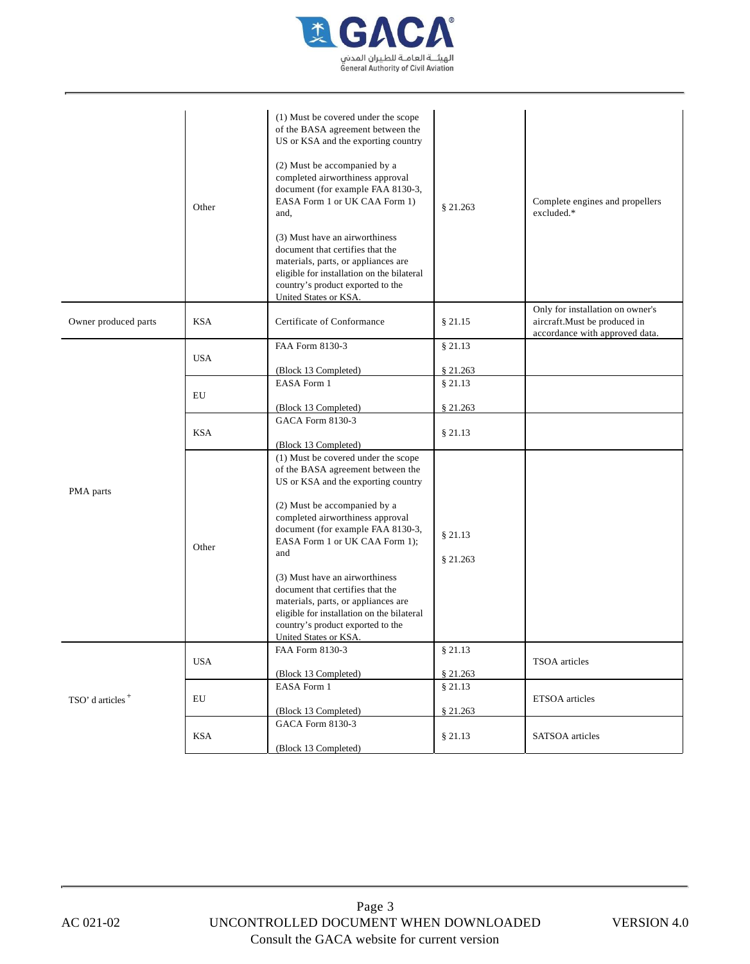

|                              | Other      | (1) Must be covered under the scope<br>of the BASA agreement between the<br>US or KSA and the exporting country<br>(2) Must be accompanied by a<br>completed airworthiness approval<br>document (for example FAA 8130-3,<br>EASA Form 1 or UK CAA Form 1)<br>and,<br>(3) Must have an airworthiness<br>document that certifies that the<br>materials, parts, or appliances are<br>eligible for installation on the bilateral<br>country's product exported to the<br>United States or KSA. | \$21.263            | Complete engines and propellers<br>excluded.*                                                      |
|------------------------------|------------|--------------------------------------------------------------------------------------------------------------------------------------------------------------------------------------------------------------------------------------------------------------------------------------------------------------------------------------------------------------------------------------------------------------------------------------------------------------------------------------------|---------------------|----------------------------------------------------------------------------------------------------|
| Owner produced parts         | <b>KSA</b> | Certificate of Conformance                                                                                                                                                                                                                                                                                                                                                                                                                                                                 | § 21.15             | Only for installation on owner's<br>aircraft.Must be produced in<br>accordance with approved data. |
|                              | <b>USA</b> | FAA Form 8130-3                                                                                                                                                                                                                                                                                                                                                                                                                                                                            | § 21.13             |                                                                                                    |
|                              |            | (Block 13 Completed)                                                                                                                                                                                                                                                                                                                                                                                                                                                                       | \$21.263            |                                                                                                    |
|                              |            | EASA Form 1                                                                                                                                                                                                                                                                                                                                                                                                                                                                                | § 21.13             |                                                                                                    |
|                              | EU         |                                                                                                                                                                                                                                                                                                                                                                                                                                                                                            |                     |                                                                                                    |
|                              |            | (Block 13 Completed)<br>GACA Form 8130-3                                                                                                                                                                                                                                                                                                                                                                                                                                                   | \$21.263            |                                                                                                    |
|                              | <b>KSA</b> |                                                                                                                                                                                                                                                                                                                                                                                                                                                                                            | § 21.13             |                                                                                                    |
|                              |            | (Block 13 Completed)                                                                                                                                                                                                                                                                                                                                                                                                                                                                       |                     |                                                                                                    |
| PMA parts                    | Other      | (1) Must be covered under the scope<br>of the BASA agreement between the<br>US or KSA and the exporting country<br>(2) Must be accompanied by a<br>completed airworthiness approval<br>document (for example FAA 8130-3,<br>EASA Form 1 or UK CAA Form 1);<br>and<br>(3) Must have an airworthiness<br>document that certifies that the<br>materials, parts, or appliances are<br>eligible for installation on the bilateral<br>country's product exported to the<br>United States or KSA. | § 21.13<br>§ 21.263 |                                                                                                    |
| TSO' d articles <sup>+</sup> | <b>USA</b> | FAA Form 8130-3                                                                                                                                                                                                                                                                                                                                                                                                                                                                            | § 21.13             |                                                                                                    |
|                              |            |                                                                                                                                                                                                                                                                                                                                                                                                                                                                                            |                     | TSOA articles                                                                                      |
|                              |            | (Block 13 Completed)                                                                                                                                                                                                                                                                                                                                                                                                                                                                       | \$21.263            |                                                                                                    |
|                              | EU         | EASA Form 1                                                                                                                                                                                                                                                                                                                                                                                                                                                                                | § 21.13             | ETSOA articles                                                                                     |
|                              |            | (Block 13 Completed)<br>GACA Form 8130-3                                                                                                                                                                                                                                                                                                                                                                                                                                                   | § 21.263            |                                                                                                    |
|                              | KSA        |                                                                                                                                                                                                                                                                                                                                                                                                                                                                                            | § 21.13             | SATSOA articles                                                                                    |
|                              |            | (Block 13 Completed)                                                                                                                                                                                                                                                                                                                                                                                                                                                                       |                     |                                                                                                    |